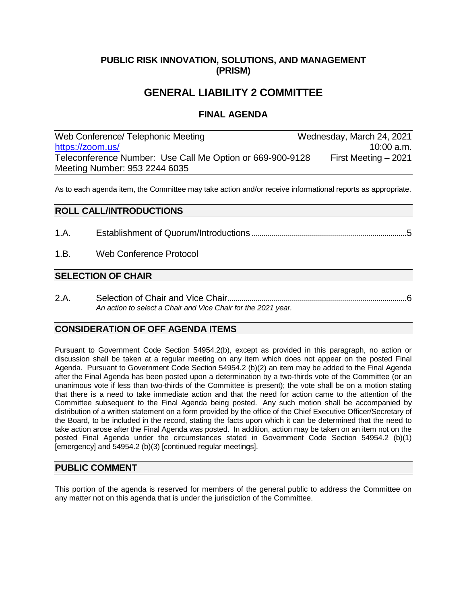# **PUBLIC RISK INNOVATION, SOLUTIONS, AND MANAGEMENT (PRISM)**

# **GENERAL LIABILITY 2 COMMITTEE**

## **FINAL AGENDA**

Web Conference/ Telephonic Meeting Wednesday, March 24, 2021 [https://zoom.us/](https://zoom.us/j/95322446035?pwd=eWxEbzdhamM0UTUzREZFNDFscVlaQT09) 10:00 a.m. Teleconference Number: Use Call Me Option or 669-900-9128 First Meeting – 2021 Meeting Number: 953 2244 6035

As to each agenda item, the Committee may take action and/or receive informational reports as appropriate.

# **ROLL CALL/INTRODUCTIONS** 1.A. Establishment of Quorum/Introductions .............................................................................5 1.B. Web Conference Protocol

#### **SELECTION OF CHAIR**

2.A. Selection of Chair and Vice Chair.........................................................................................6 *An action to select a Chair and Vice Chair for the 2021 year.*

### **CONSIDERATION OF OFF AGENDA ITEMS**

Pursuant to Government Code Section 54954.2(b), except as provided in this paragraph, no action or discussion shall be taken at a regular meeting on any item which does not appear on the posted Final Agenda. Pursuant to Government Code Section 54954.2 (b)(2) an item may be added to the Final Agenda after the Final Agenda has been posted upon a determination by a two-thirds vote of the Committee (or an unanimous vote if less than two-thirds of the Committee is present); the vote shall be on a motion stating that there is a need to take immediate action and that the need for action came to the attention of the Committee subsequent to the Final Agenda being posted. Any such motion shall be accompanied by distribution of a written statement on a form provided by the office of the Chief Executive Officer/Secretary of the Board, to be included in the record, stating the facts upon which it can be determined that the need to take action arose after the Final Agenda was posted. In addition, action may be taken on an item not on the posted Final Agenda under the circumstances stated in Government Code Section 54954.2 (b)(1) [emergency] and 54954.2 (b)(3) [continued regular meetings].

#### **PUBLIC COMMENT**

This portion of the agenda is reserved for members of the general public to address the Committee on any matter not on this agenda that is under the jurisdiction of the Committee.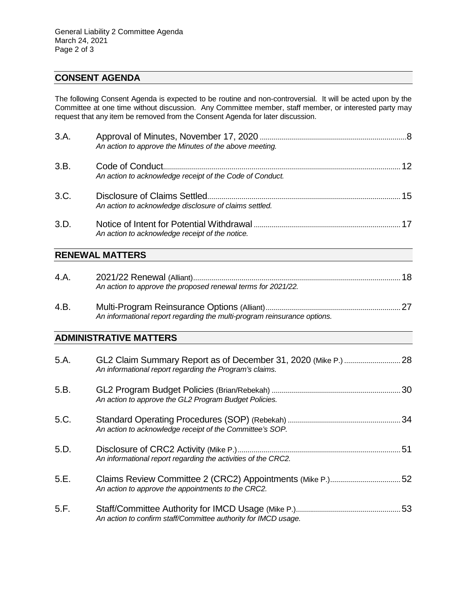# **CONSENT AGENDA**

The following Consent Agenda is expected to be routine and non-controversial. It will be acted upon by the Committee at one time without discussion. Any Committee member, staff member, or interested party may request that any item be removed from the Consent Agenda for later discussion.

| 3.A. | An action to approve the Minutes of the above meeting.                   |  |
|------|--------------------------------------------------------------------------|--|
| 3.B. | An action to acknowledge receipt of the Code of Conduct.                 |  |
| 3.C. | An action to acknowledge disclosure of claims settled.                   |  |
| 3.D. | An action to acknowledge receipt of the notice.                          |  |
|      | <b>RENEWAL MATTERS</b>                                                   |  |
| 4.A. | An action to approve the proposed renewal terms for 2021/22.             |  |
| 4.B. | An informational report regarding the multi-program reinsurance options. |  |
|      | <b>ADMINISTRATIVE MATTERS</b>                                            |  |
| 5.A. | An informational report regarding the Program's claims.                  |  |
| 5.B. | An action to approve the GL2 Program Budget Policies.                    |  |
| 5.C. | An action to acknowledge receipt of the Committee's SOP.                 |  |
| 5.D. | An informational report regarding the activities of the CRC2.            |  |
| 5.E. | An action to approve the appointments to the CRC2.                       |  |

| 5.F. |                                                                |  |
|------|----------------------------------------------------------------|--|
|      | An action to confirm staff/Committee authority for IMCD usage. |  |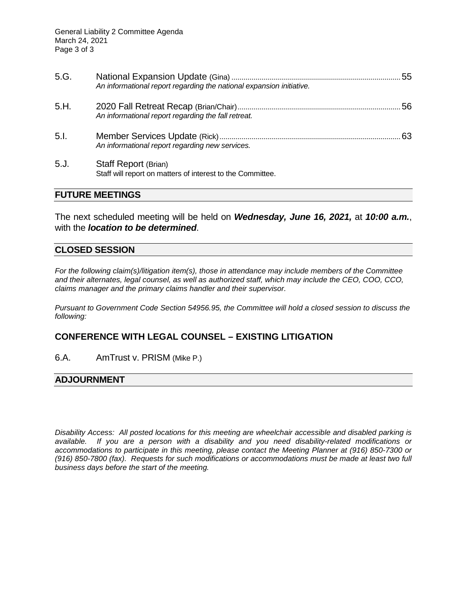| 5.G. | An informational report regarding the national expansion initiative.               | 55 |
|------|------------------------------------------------------------------------------------|----|
| 5.H. | An informational report regarding the fall retreat.                                |    |
| 5.1. | An informational report regarding new services.                                    | 63 |
| 5J   | Staff Report (Brian)<br>Staff will report on matters of interest to the Committee. |    |

#### **FUTURE MEETINGS**

The next scheduled meeting will be held on *Wednesday, June 16, 2021,* at *10:00 a.m.*, with the *location to be determined*.

#### **CLOSED SESSION**

*For the following claim(s)/litigation item(s), those in attendance may include members of the Committee and their alternates, legal counsel, as well as authorized staff, which may include the CEO, COO, CCO, claims manager and the primary claims handler and their supervisor.* 

*Pursuant to Government Code Section 54956.95, the Committee will hold a closed session to discuss the following:*

#### **CONFERENCE WITH LEGAL COUNSEL – EXISTING LITIGATION**

6.A. AmTrust v. PRISM (Mike P.)

#### **ADJOURNMENT**

*Disability Access: All posted locations for this meeting are wheelchair accessible and disabled parking is available. If you are a person with a disability and you need disability-related modifications or accommodations to participate in this meeting, please contact the Meeting Planner at (916) 850-7300 or (916) 850-7800 (fax). Requests for such modifications or accommodations must be made at least two full business days before the start of the meeting.*